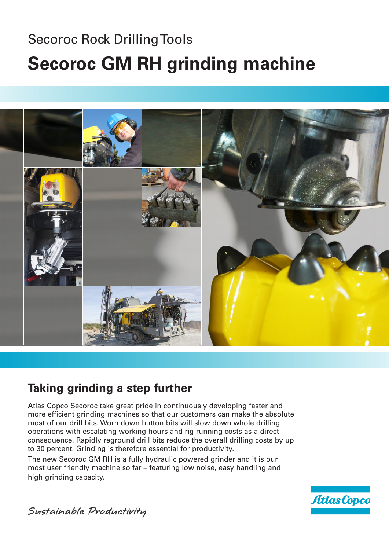# Secoroc Rock Drilling Tools **Secoroc GM RH grinding machine**



### **Taking grinding a step further**

Atlas Copco Secoroc take great pride in continuously developing faster and more efficient grinding machines so that our customers can make the absolute most of our drill bits. Worn down button bits will slow down whole drilling operations with escalating working hours and rig running costs as a direct consequence. Rapidly reground drill bits reduce the overall drilling costs by up to 30 percent. Grinding is therefore essential for productivity.

The new Secoroc GM RH is a fully hydraulic powered grinder and it is our most user friendly machine so far – featuring low noise, easy handling and high grinding capacity.



Sustainable Productivity